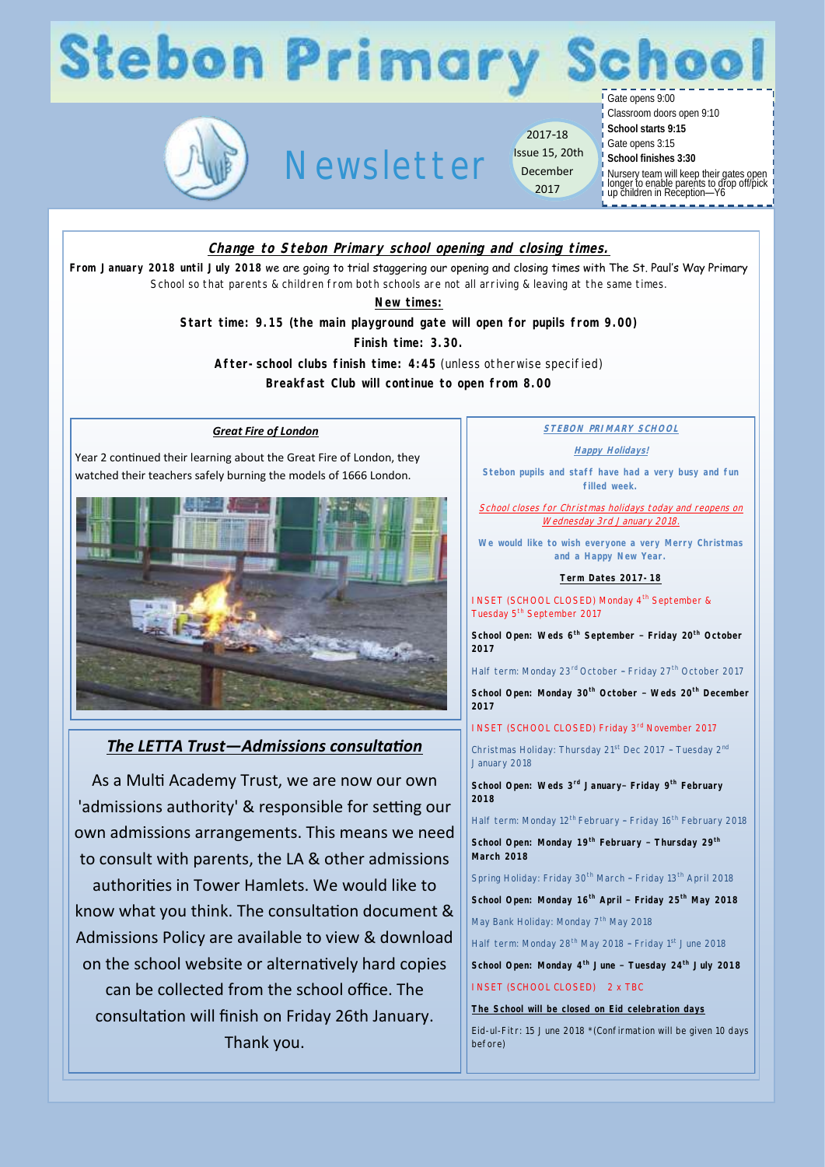# **Stebon Primary**

# Newsletter

2017-18 Issue 15, 20th December 2017

Gate opens 9:00 Classroom doors open 9:10

**School starts 9:15**

Gate opens 3:15

**School finishes 3:30**

Nursery team will keep their gates open longer to enable parents to drop off/pick up children in Reception—Y6

# **Change to Stebon Primary school opening and closing times.**

**From January 2018 until July 2018** we are going to trial staggering our opening and closing times with The St. Paul's Way Primary School so that parents & children from both schools are not all arriving & leaving at the same times.

**New times:**

**Start time: 9.15 (the main playground gate will open for pupils from 9.00)**

**Finish time: 3.30.** 

**After-school clubs finish time: 4:45** (unless otherwise specified)

**Breakfast Club will continue to open from 8.00**

# *Great Fire of London*

Year 2 continued their learning about the Great Fire of London, they watched their teachers safely burning the models of 1666 London.



# *The LETTA Trust—Admissions consultation*

As a Multi Academy Trust, we are now our own 'admissions authority' & responsible for setting our own admissions arrangements. This means we need to consult with parents, the LA & other admissions authorities in Tower Hamlets. We would like to know what you think. The consultation document & Admissions Policy are available to view & download on the school website or alternatively hard copies can be collected from the school office. The consultation will finish on Friday 26th January. Thank you.

#### **STEBON PRIMARY SCHOOL**

**Happy Holidays!**

**Stebon pupils and staff have had a very busy and fun filled week.** 

School closes for Christmas holidays today and reopens on Wednesday 3rd January 2018.

**We would like to wish everyone a very Merry Christmas and a Happy New Year.**

#### **Term Dates 2017-18**

INSET (SCHOOL CLOSED) Monday 4<sup>th</sup> September & Tuesday 5<sup>th</sup> September 2017

**School Open: Weds 6th September – Friday 20th October 2017**

Half term: Monday 23<sup>rd</sup> October - Friday 27<sup>th</sup> October 2017

**School Open: Monday 30th October – Weds 20th December 2017** 

INSET (SCHOOL CLOSED) Friday 3<sup>rd</sup> November 2017

Christmas Holiday: Thursday 21<sup>st</sup> Dec 2017 - Tuesday 2<sup>nd</sup> January 2018

**School Open: Weds 3rd January– Friday 9th February 2018**

Half term: Monday 12<sup>th</sup> February - Friday 16<sup>th</sup> February 2018

**School Open: Monday 19th February – Thursday 29th March 2018**

Spring Holiday: Friday 30<sup>th</sup> March - Friday 13<sup>th</sup> April 2018

**School Open: Monday 16th April – Friday 25th May 2018** May Bank Holiday: Monday 7<sup>th</sup> May 2018

Half term: Monday 28<sup>th</sup> May 2018 - Friday 1<sup>st</sup> June 2018

**School Open: Monday 4th June – Tuesday 24th July 2018** INSET (SCHOOL CLOSED) 2 x TBC

**The School will be closed on Eid celebration days**

Eid-ul-Fitr: 15 June 2018 \*(Confirmation will be given 10 days before)